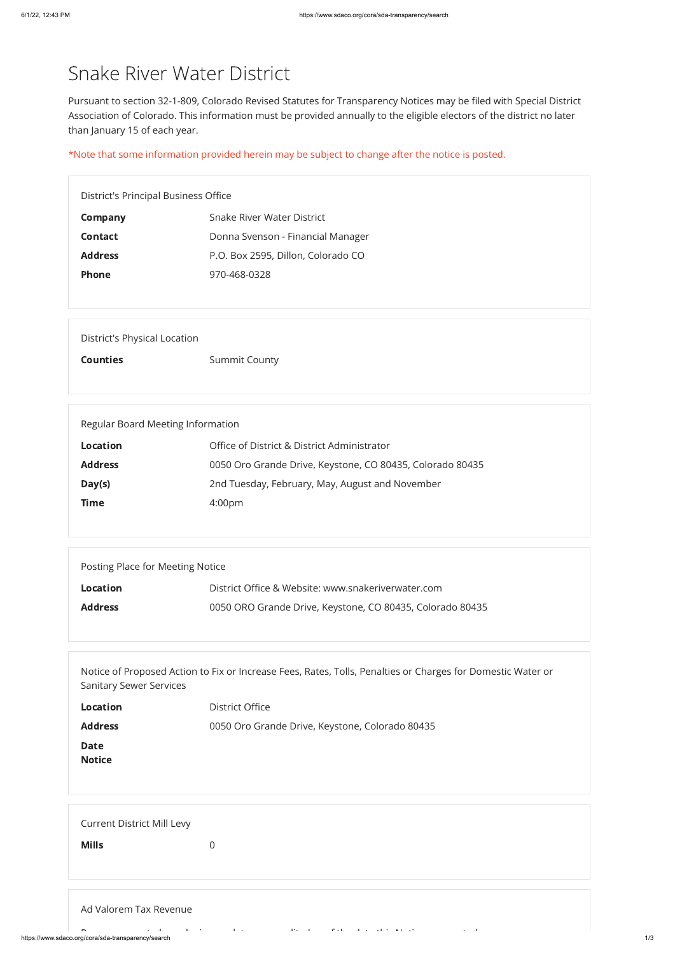https://www.sdaco.org/cora/sda-transparency/search 1/3

# Snake River Water District

Pursuant to section 32-1-809, Colorado Revised Statutes for Transparency Notices may be filed with Special District Association of Colorado. This information must be provided annually to the eligible electors of the district no later than January 15 of each year.

\*Note that some information provided herein may be subject to change after the notice is posted.

District's Principal Business Office

| <b>Company</b> | Snake River Water District         |
|----------------|------------------------------------|
| <b>Contact</b> | Donna Svenson - Financial Manager  |
| <b>Address</b> | P.O. Box 2595, Dillon, Colorado CO |
| <b>Phone</b>   | 970-468-0328                       |

| <b>Address</b>                    | 0050 Oro Grande Drive, Keystone, Colorado 80435                                                             |
|-----------------------------------|-------------------------------------------------------------------------------------------------------------|
| <b>Date</b>                       |                                                                                                             |
| <b>Notice</b>                     |                                                                                                             |
|                                   |                                                                                                             |
|                                   |                                                                                                             |
| <b>Current District Mill Levy</b> |                                                                                                             |
| <b>Mills</b>                      | $\overline{0}$                                                                                              |
|                                   |                                                                                                             |
|                                   |                                                                                                             |
| Ad Valorem Tax Revenue            |                                                                                                             |
| $\overline{\phantom{0}}$          | and the contract of the contract of the contract of the contract of the contract of the<br>$\Delta\phi=0.1$ |

## District's Physical Location

Counties Summit County

| Regular Board Meeting Information |                                                           |
|-----------------------------------|-----------------------------------------------------------|
| <b>Location</b>                   | Office of District & District Administrator               |
| <b>Address</b>                    | 0050 Oro Grande Drive, Keystone, CO 80435, Colorado 80435 |
| Day(s)                            | 2nd Tuesday, February, May, August and November           |
| <b>Time</b>                       | 4:00 <sub>pm</sub>                                        |
|                                   |                                                           |

| Posting Place for Meeting Notice |                                                           |
|----------------------------------|-----------------------------------------------------------|
| <b>Location</b>                  | District Office & Website: www.snakeriverwater.com        |
| <b>Address</b>                   | 0050 ORO Grande Drive, Keystone, CO 80435, Colorado 80435 |
|                                  |                                                           |

Notice of Proposed Action to Fix or Increase Fees, Rates, Tolls, Penalties or Charges for Domestic Water or Sanitary Sewer Services

**Location** District Office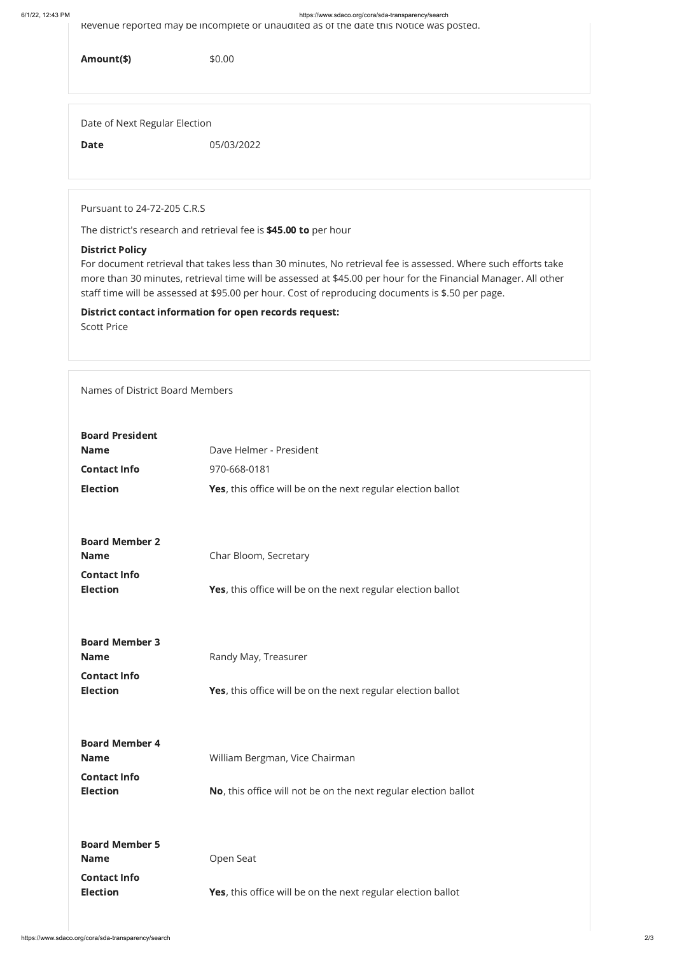#### 6/1/22, 12:43 PM https://www.sdaco.org/cora/sda-transparency/search

Revenue reported may be incomplete or unaudited as of the date this Notice was posted.

Amount(\$) \$0.00

Date of Next Regular Election

Date 05/03/2022

Pursuant to 24-72-205 C.R.S

The district's research and retrieval fee is \$45.00 to per hour

### District Policy

| <b>Board President</b> |                                                                      |
|------------------------|----------------------------------------------------------------------|
| <b>Name</b>            | Dave Helmer - President                                              |
| <b>Contact Info</b>    | 970-668-0181                                                         |
| <b>Election</b>        | <b>Yes</b> , this office will be on the next regular election ballot |
|                        |                                                                      |
|                        |                                                                      |
| <b>Board Member 2</b>  |                                                                      |
| <b>Name</b>            | Char Bloom, Secretary                                                |
| <b>Contact Info</b>    |                                                                      |
| <b>Election</b>        | <b>Yes</b> , this office will be on the next regular election ballot |
|                        |                                                                      |
|                        |                                                                      |
| <b>Board Member 3</b>  |                                                                      |
| <b>Name</b>            | Randy May, Treasurer                                                 |
| <b>Contact Info</b>    |                                                                      |
| <b>Election</b>        | <b>Yes</b> , this office will be on the next regular election ballot |
|                        |                                                                      |

For document retrieval that takes less than 30 minutes, No retrieval fee is assessed. Where such efforts take more than 30 minutes, retrieval time will be assessed at \$45.00 per hour for the Financial Manager. All other staff time will be assessed at \$95.00 per hour. Cost of reproducing documents is \$.50 per page.

District contact information for open records request: Scott Price

Names of District Board Members

| <b>Board Member 4</b><br><b>Name</b>   | William Bergman, Vice Chairman                                       |
|----------------------------------------|----------------------------------------------------------------------|
| <b>Contact Info</b><br><b>Election</b> | No, this office will not be on the next regular election ballot      |
| <b>Board Member 5</b><br><b>Name</b>   | Open Seat                                                            |
| <b>Contact Info</b><br><b>Election</b> | <b>Yes</b> , this office will be on the next regular election ballot |